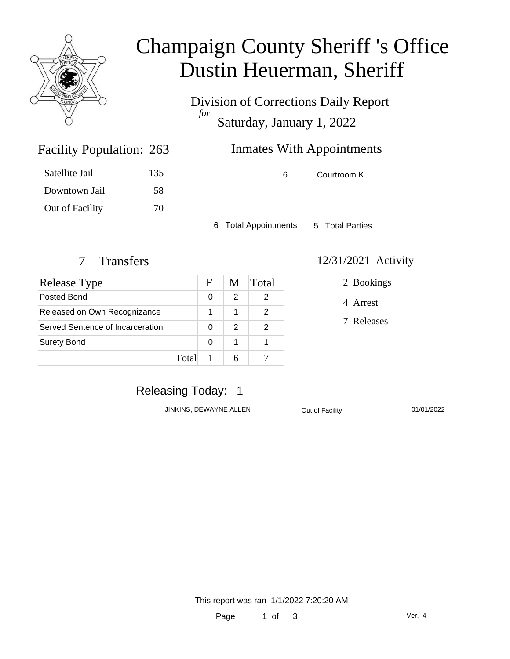

# Champaign County Sheriff 's Office Dustin Heuerman, Sheriff

Division of Corrections Daily Report *for* Saturday, January 1, 2022

# Inmates With Appointments

Facility Population: 263

| Satellite Jail  | 135 |
|-----------------|-----|
| Downtown Jail   | 58  |
| Out of Facility | 70  |

6 Courtroom K

6 Total Appointments 5 Total Parties

| <b>Release Type</b>              |       | F | M | <b>Total</b> |
|----------------------------------|-------|---|---|--------------|
| Posted Bond                      |       | 0 | 2 | 2            |
| Released on Own Recognizance     |       |   | 1 |              |
| Served Sentence of Incarceration |       | 0 | 2 | 2            |
| <b>Surety Bond</b>               |       | 0 | 1 |              |
|                                  | Total |   |   |              |

#### 7 Transfers 12/31/2021 Activity

2 Bookings

4 Arrest

7 Releases

## Releasing Today: 1

JINKINS, DEWAYNE ALLEN **Out of Facility** 01/01/2022

This report was ran 1/1/2022 7:20:20 AM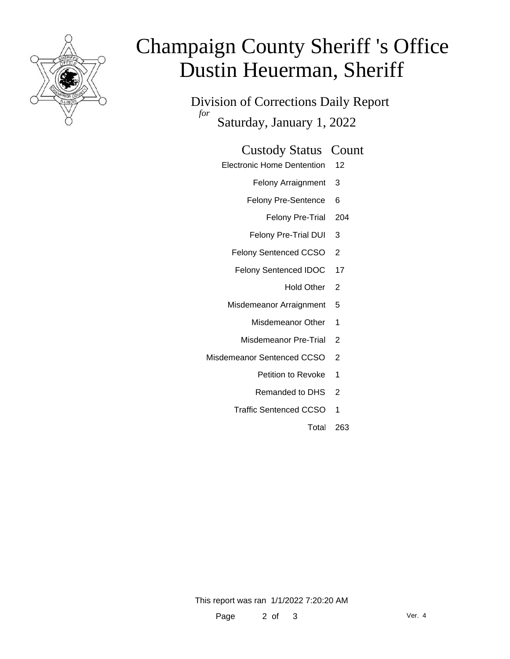

# Champaign County Sheriff 's Office Dustin Heuerman, Sheriff

Division of Corrections Daily Report *for* Saturday, January 1, 2022

#### Custody Status Count

- Electronic Home Dentention 12
	- Felony Arraignment 3
	- Felony Pre-Sentence 6
		- Felony Pre-Trial 204
	- Felony Pre-Trial DUI 3
	- Felony Sentenced CCSO 2
	- Felony Sentenced IDOC 17
		- Hold Other 2
	- Misdemeanor Arraignment 5
		- Misdemeanor Other 1
		- Misdemeanor Pre-Trial 2
- Misdemeanor Sentenced CCSO 2
	- Petition to Revoke 1
	- Remanded to DHS 2
	- Traffic Sentenced CCSO 1
		- Total 263

This report was ran 1/1/2022 7:20:20 AM